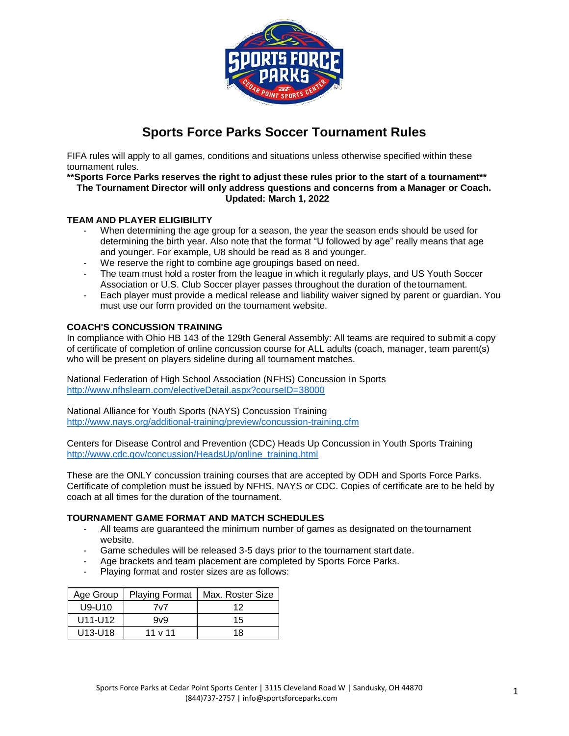

# **Sports Force Parks Soccer Tournament Rules**

FIFA rules will apply to all games, conditions and situations unless otherwise specified within these tournament rules.

#### **\*\*Sports Force Parks reserves the right to adjust these rules prior to the start of a tournament\*\* The Tournament Director will only address questions and concerns from a Manager or Coach. Updated: March 1, 2022**

## **TEAM AND PLAYER ELIGIBILITY**

- When determining the age group for a season, the year the season ends should be used for determining the birth year. Also note that the format "U followed by age" really means that age and younger. For example, U8 should be read as 8 and younger.
- We reserve the right to combine age groupings based on need.
- The team must hold a roster from the league in which it regularly plays, and US Youth Soccer Association or U.S. Club Soccer player passes throughout the duration of thetournament.
- Each player must provide a medical release and liability waiver signed by parent or guardian. You must use our form provided on the tournament website.

#### **COACH'S CONCUSSION TRAINING**

In compliance with Ohio HB 143 of the 129th General Assembly: All teams are required to submit a copy of certificate of completion of online concussion course for ALL adults (coach, manager, team parent(s) who will be present on players sideline during all tournament matches.

National Federation of High School Association (NFHS) Concussion In Sports <http://www.nfhslearn.com/electiveDetail.aspx?courseID=38000>

National Alliance for Youth Sports (NAYS) Concussion Training <http://www.nays.org/additional-training/preview/concussion-training.cfm>

Centers for Disease Control and Prevention (CDC) Heads Up Concussion in Youth Sports Training [http://www.cdc.gov/concussion/HeadsUp/online\\_training.html](http://www.cdc.gov/concussion/HeadsUp/online_training.html)

These are the ONLY concussion training courses that are accepted by ODH and Sports Force Parks. Certificate of completion must be issued by NFHS, NAYS or CDC. Copies of certificate are to be held by coach at all times for the duration of the tournament.

#### **TOURNAMENT GAME FORMAT AND MATCH SCHEDULES**

- All teams are guaranteed the minimum number of games as designated on thetournament website.
- Game schedules will be released 3-5 days prior to the tournament startdate.
- Age brackets and team placement are completed by Sports Force Parks.
- Playing format and roster sizes are as follows:

| Age Group                        |              | Playing Format   Max. Roster Size |
|----------------------------------|--------------|-----------------------------------|
| U9-U10                           | 7v7          | 12                                |
| U11-U12                          | 9v9          | 15                                |
| U <sub>13</sub> -U <sub>18</sub> | 11 $\vee$ 11 | 18                                |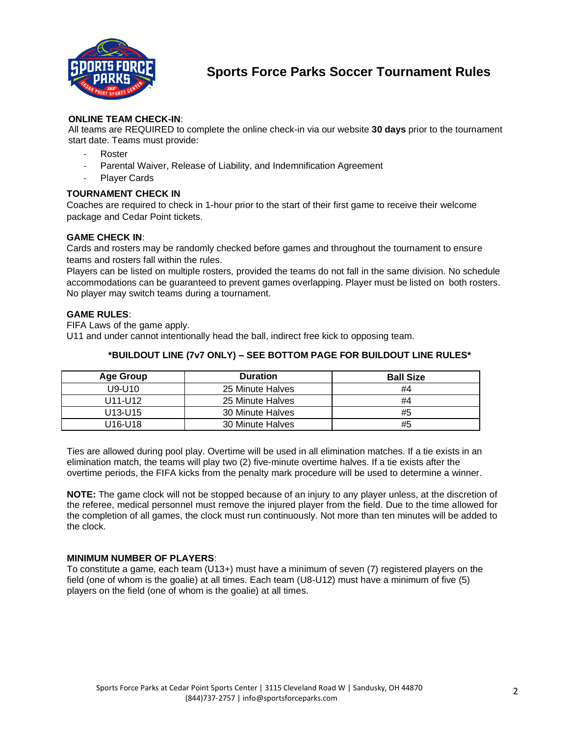

# **ONLINE TEAM CHECK-IN**:

All teams are REQUIRED to complete the online check-in via our website **30 days** prior to the tournament start date. Teams must provide:

- **Roster**
- Parental Waiver, Release of Liability, and Indemnification Agreement
- Player Cards

# **TOURNAMENT CHECK IN**

Coaches are required to check in 1-hour prior to the start of their first game to receive their welcome package and Cedar Point tickets.

## **GAME CHECK IN**:

Cards and rosters may be randomly checked before games and throughout the tournament to ensure teams and rosters fall within the rules.

Players can be listed on multiple rosters, provided the teams do not fall in the same division. No schedule accommodations can be guaranteed to prevent games overlapping. Player must be listed on both rosters. No player may switch teams during a tournament.

#### **GAME RULES**:

FIFA Laws of the game apply. U11 and under cannot intentionally head the ball, indirect free kick to opposing team.

## **\*BUILDOUT LINE (7v7 ONLY) – SEE BOTTOM PAGE FOR BUILDOUT LINE RULES\***

| Age Group                        | <b>Duration</b>  | <b>Ball Size</b> |
|----------------------------------|------------------|------------------|
| U9-U10                           | 25 Minute Halves | #4               |
| U11-U12                          | 25 Minute Halves | #4               |
| U <sub>13</sub> -U <sub>15</sub> | 30 Minute Halves | #5               |
| U16-U18                          | 30 Minute Halves | #5               |

Ties are allowed during pool play. Overtime will be used in all elimination matches. If a tie exists in an elimination match, the teams will play two (2) five-minute overtime halves. If a tie exists after the overtime periods, the FIFA kicks from the penalty mark procedure will be used to determine a winner.

**NOTE:** The game clock will not be stopped because of an injury to any player unless, at the discretion of the referee, medical personnel must remove the injured player from the field. Due to the time allowed for the completion of all games, the clock must run continuously. Not more than ten minutes will be added to the clock.

#### **MINIMUM NUMBER OF PLAYERS**:

To constitute a game, each team (U13+) must have a minimum of seven (7) registered players on the field (one of whom is the goalie) at all times. Each team (U8-U12) must have a minimum of five (5) players on the field (one of whom is the goalie) at all times.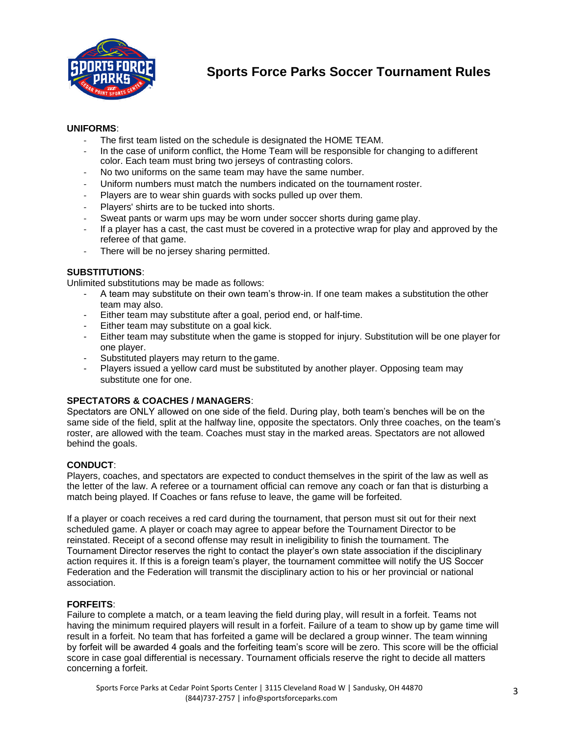

## **UNIFORMS**:

- The first team listed on the schedule is designated the HOME TEAM.
- In the case of uniform conflict, the Home Team will be responsible for changing to adifferent color. Each team must bring two jerseys of contrasting colors.
- No two uniforms on the same team may have the same number.
- Uniform numbers must match the numbers indicated on the tournament roster.
- Players are to wear shin guards with socks pulled up over them.
- Players' shirts are to be tucked into shorts.
- Sweat pants or warm ups may be worn under soccer shorts during game play.
- If a player has a cast, the cast must be covered in a protective wrap for play and approved by the referee of that game.
- There will be no jersey sharing permitted.

#### **SUBSTITUTIONS**:

Unlimited substitutions may be made as follows:

- A team may substitute on their own team's throw-in. If one team makes a substitution the other team may also.
- Either team may substitute after a goal, period end, or half-time.
- Either team may substitute on a goal kick.
- Either team may substitute when the game is stopped for injury. Substitution will be one player for one player.
- Substituted players may return to the game.
- Players issued a yellow card must be substituted by another player. Opposing team may substitute one for one.

## **SPECTATORS & COACHES / MANAGERS**:

Spectators are ONLY allowed on one side of the field. During play, both team's benches will be on the same side of the field, split at the halfway line, opposite the spectators. Only three coaches, on the team's roster, are allowed with the team. Coaches must stay in the marked areas. Spectators are not allowed behind the goals.

## **CONDUCT**:

Players, coaches, and spectators are expected to conduct themselves in the spirit of the law as well as the letter of the law. A referee or a tournament official can remove any coach or fan that is disturbing a match being played. If Coaches or fans refuse to leave, the game will be forfeited.

If a player or coach receives a red card during the tournament, that person must sit out for their next scheduled game. A player or coach may agree to appear before the Tournament Director to be reinstated. Receipt of a second offense may result in ineligibility to finish the tournament. The Tournament Director reserves the right to contact the player's own state association if the disciplinary action requires it. If this is a foreign team's player, the tournament committee will notify the US Soccer Federation and the Federation will transmit the disciplinary action to his or her provincial or national association.

## **FORFEITS**:

Failure to complete a match, or a team leaving the field during play, will result in a forfeit. Teams not having the minimum required players will result in a forfeit. Failure of a team to show up by game time will result in a forfeit. No team that has forfeited a game will be declared a group winner. The team winning by forfeit will be awarded 4 goals and the forfeiting team's score will be zero. This score will be the official score in case goal differential is necessary. Tournament officials reserve the right to decide all matters concerning a forfeit.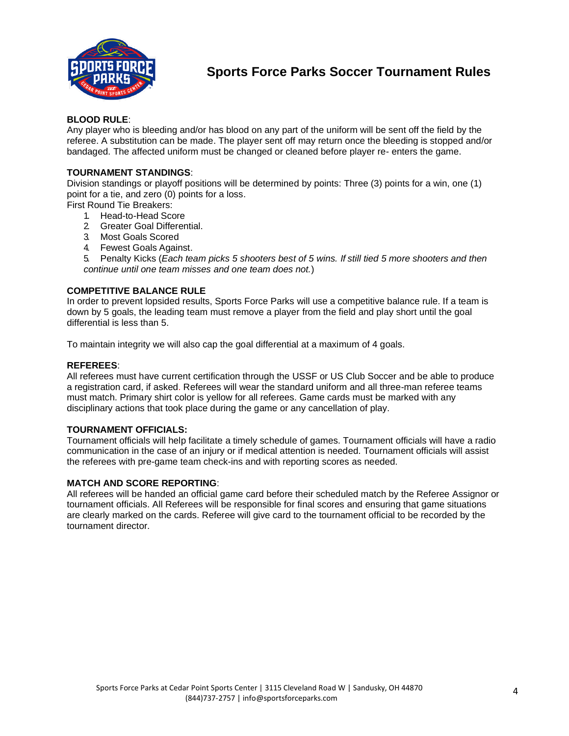

### **BLOOD RULE**:

Any player who is bleeding and/or has blood on any part of the uniform will be sent off the field by the referee. A substitution can be made. The player sent off may return once the bleeding is stopped and/or bandaged. The affected uniform must be changed or cleaned before player re- enters the game.

### **TOURNAMENT STANDINGS**:

Division standings or playoff positions will be determined by points: Three (3) points for a win, one (1) point for a tie, and zero (0) points for a loss.

First Round Tie Breakers:

- 1. Head-to-Head Score
- 2. Greater Goal Differential.
- 3. Most Goals Scored
- 4. Fewest Goals Against.

5. Penalty Kicks (*Each team picks 5 shooters best of 5 wins. If still tied 5 more shooters and then continue until one team misses and one team does not.*)

#### **COMPETITIVE BALANCE RULE**

In order to prevent lopsided results, Sports Force Parks will use a competitive balance rule. If a team is down by 5 goals, the leading team must remove a player from the field and play short until the goal differential is less than 5.

To maintain integrity we will also cap the goal differential at a maximum of 4 goals.

#### **REFEREES**:

All referees must have current certification through the USSF or US Club Soccer and be able to produce a registration card, if asked. Referees will wear the standard uniform and all three-man referee teams must match. Primary shirt color is yellow for all referees. Game cards must be marked with any disciplinary actions that took place during the game or any cancellation of play.

#### **TOURNAMENT OFFICIALS:**

Tournament officials will help facilitate a timely schedule of games. Tournament officials will have a radio communication in the case of an injury or if medical attention is needed. Tournament officials will assist the referees with pre-game team check-ins and with reporting scores as needed.

#### **MATCH AND SCORE REPORTING**:

All referees will be handed an official game card before their scheduled match by the Referee Assignor or tournament officials. All Referees will be responsible for final scores and ensuring that game situations are clearly marked on the cards. Referee will give card to the tournament official to be recorded by the tournament director.